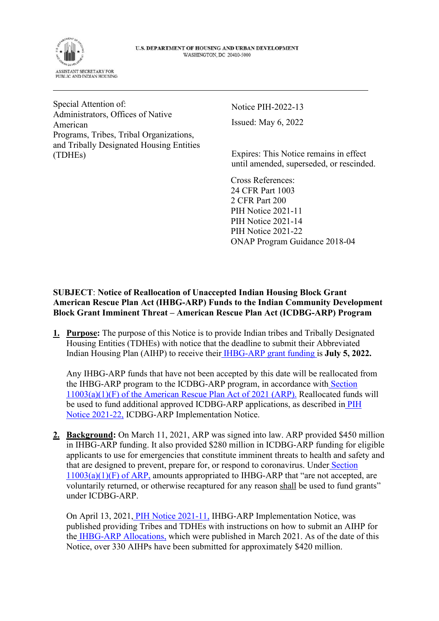

Special Attention of: Administrators, Offices of Native American Programs, Tribes, Tribal Organizations, and Tribally Designated Housing Entities (TDHEs)

Notice PIH-2022-13 Issued: May 6, 2022

Expires: This Notice remains in effect until amended, superseded, or rescinded.

Cross References: 24 CFR Part 1003 2 CFR Part 200 PIH Notice 2021-11 PIH Notice 2021-14 PIH Notice 2021-22 ONAP Program Guidance 2018-04

**SUBJECT**: **Notice of Reallocation of Unaccepted Indian Housing Block Grant American Rescue Plan Act (IHBG-ARP) Funds to the Indian Community Development Block Grant Imminent Threat – American Rescue Plan Act (ICDBG-ARP) Program** 

**1. Purpose:** The purpose of this Notice is to provide Indian tribes and Tribally Designated Housing Entities (TDHEs) with notice that the deadline to submit their Abbreviated Indian Housing Plan (AIHP) to receive thei[r IHBG-ARP grant funding i](https://www.hud.gov/sites/dfiles/PIH/documents/IHBG-ARP_for_Codetalk3.24.21.pdf)s **July 5, 2022.** 

Any IHBG-ARP funds that have not been accepted by this date will be reallocated from the IHBG-ARP program to the ICDBG-ARP program, in accordance wit[h Section](https://www.congress.gov/bill/117th-congress/house-bill/1319/text)  [11003\(a\)\(1\)\(F\) of the American Rescue Plan Act of 2021 \(ARP\).](https://www.congress.gov/bill/117th-congress/house-bill/1319/text) Reallocated funds will be used to fund additional approved ICDBG-ARP applications, as described i[n PIH](https://www.hud.gov/sites/dfiles/PIH/documents/PIH2021-22.pdf)  [Notice 2021-22,](https://www.hud.gov/sites/dfiles/PIH/documents/PIH2021-22.pdf) ICDBG-ARP Implementation Notice.

**2. Background:** On March 11, 2021, ARP was signed into law. ARP provided \$450 million in IHBG-ARP funding. It also provided \$280 million in ICDBG-ARP funding for eligible applicants to use for emergencies that constitute imminent threats to health and safety and that are designed to prevent, prepare for, or respond to coronavirus. Unde[r Section](https://www.congress.gov/bill/117th-congress/house-bill/1319/text)  $11003(a)(1)(F)$  of ARP, amounts appropriated to IHBG-ARP that "are not accepted, are voluntarily returned, or otherwise recaptured for any reason shall be used to fund grants" under ICDBG-ARP.

On April 13, 2021[, PIH Notice 2021-11,](https://www.hud.gov/sites/dfiles/OCHCO/documents/2021-11pihn.pdf) IHBG-ARP Implementation Notice, was published providing Tribes and TDHEs with instructions on how to submit an AIHP for th[e IHBG-ARP Allocations,](https://www.hud.gov/sites/dfiles/PIH/documents/IHBG-ARP_for_Codetalk3.24.21.pdf) which were published in March 2021. As of the date of this Notice, over 330 AIHPs have been submitted for approximately \$420 million.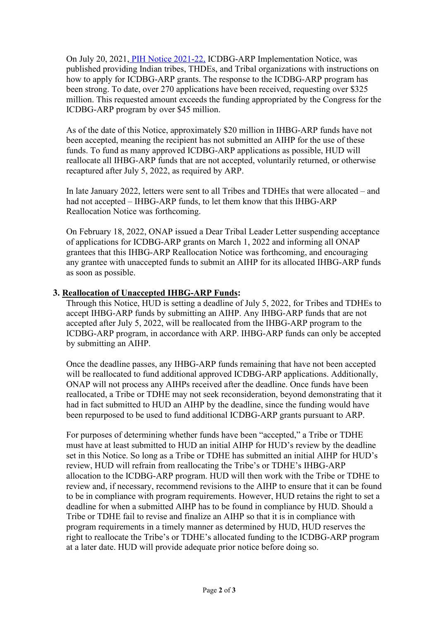On July 20, 2021[, PIH Notice 2021-22,](https://www.hud.gov/sites/dfiles/PIH/documents/PIH2021-22.pdf) ICDBG-ARP Implementation Notice, was published providing Indian tribes, THDEs, and Tribal organizations with instructions on how to apply for ICDBG-ARP grants. The response to the ICDBG-ARP program has been strong. To date, over 270 applications have been received, requesting over \$325 million. This requested amount exceeds the funding appropriated by the Congress for the ICDBG-ARP program by over \$45 million.

As of the date of this Notice, approximately \$20 million in IHBG-ARP funds have not been accepted, meaning the recipient has not submitted an AIHP for the use of these funds. To fund as many approved ICDBG-ARP applications as possible, HUD will reallocate all IHBG-ARP funds that are not accepted, voluntarily returned, or otherwise recaptured after July 5, 2022, as required by ARP.

In late January 2022, letters were sent to all Tribes and TDHEs that were allocated – and had not accepted – IHBG-ARP funds, to let them know that this IHBG-ARP Reallocation Notice was forthcoming.

On February 18, 2022, ONAP issued a Dear Tribal Leader Letter suspending acceptance of applications for ICDBG-ARP grants on March 1, 2022 and informing all ONAP grantees that this IHBG-ARP Reallocation Notice was forthcoming, and encouraging any grantee with unaccepted funds to submit an AIHP for its allocated IHBG-ARP funds as soon as possible.

## **3. Reallocation of Unaccepted IHBG-ARP Funds:**

Through this Notice, HUD is setting a deadline of July 5, 2022, for Tribes and TDHEs to accept IHBG-ARP funds by submitting an AIHP. Any IHBG-ARP funds that are not accepted after July 5, 2022, will be reallocated from the IHBG-ARP program to the ICDBG-ARP program, in accordance with ARP. IHBG-ARP funds can only be accepted by submitting an AIHP.

Once the deadline passes, any IHBG-ARP funds remaining that have not been accepted will be reallocated to fund additional approved ICDBG-ARP applications. Additionally, ONAP will not process any AIHPs received after the deadline. Once funds have been reallocated, a Tribe or TDHE may not seek reconsideration, beyond demonstrating that it had in fact submitted to HUD an AIHP by the deadline, since the funding would have been repurposed to be used to fund additional ICDBG-ARP grants pursuant to ARP.

For purposes of determining whether funds have been "accepted," a Tribe or TDHE must have at least submitted to HUD an initial AIHP for HUD's review by the deadline set in this Notice. So long as a Tribe or TDHE has submitted an initial AIHP for HUD's review, HUD will refrain from reallocating the Tribe's or TDHE's IHBG-ARP allocation to the ICDBG-ARP program. HUD will then work with the Tribe or TDHE to review and, if necessary, recommend revisions to the AIHP to ensure that it can be found to be in compliance with program requirements. However, HUD retains the right to set a deadline for when a submitted AIHP has to be found in compliance by HUD. Should a Tribe or TDHE fail to revise and finalize an AIHP so that it is in compliance with program requirements in a timely manner as determined by HUD, HUD reserves the right to reallocate the Tribe's or TDHE's allocated funding to the ICDBG-ARP program at a later date. HUD will provide adequate prior notice before doing so.